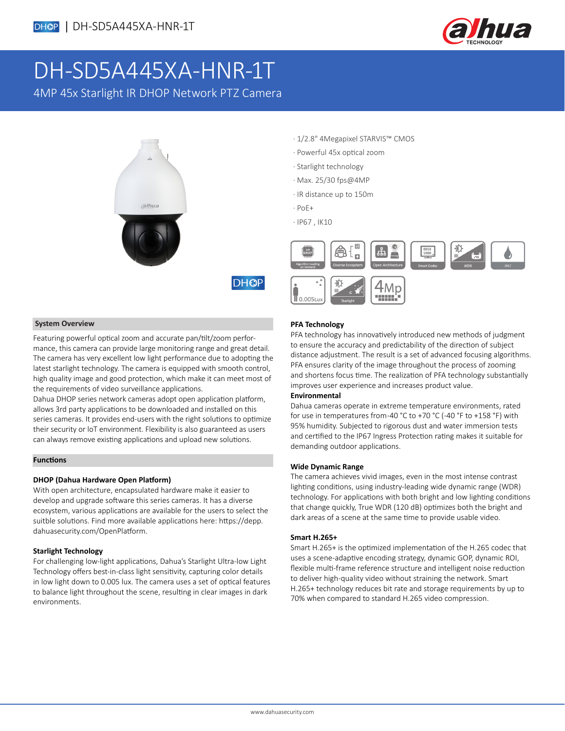

# DH-SD5A445XA-HNR-1T

4MP 45x Starlight IR DHOP Network PTZ Camera



- · 1/2.8" 4Megapixel STARVIS™ CMOS
- · Powerful 45x optical zoom
- · Starlight technology
- · Max. 25/30 fps@4MP
- · IR distance up to 150m
- · PoE+

**DHOP** 

· IP67 , IK10



### **System Overview**

Featuring powerful optical zoom and accurate pan/tilt/zoom performance, this camera can provide large monitoring range and great detail. The camera has very excellent low light performance due to adopting the latest starlight technology. The camera is equipped with smooth control, high quality image and good protection, which make it can meet most of the requirements of video surveillance applications.

Dahua DHOP series network cameras adopt open application platform, allows 3rd party applications to be downloaded and installed on this series cameras. It provides end-users with the right solutions to optimize their security or loT environment. Flexibility is also guaranteed as users can always remove existing applications and upload new solutions.

#### **Functions**

### **DHOP (Dahua Hardware Open Platform)**

With open architecture, encapsulated hardware make it easier to develop and upgrade software this series cameras. It has a diverse ecosystem, various applications are available for the users to select the suitble solutions. Find more available applications here: https://depp. dahuasecurity.com/OpenPlatform.

### **Starlight Technology**

For challenging low-light applications, Dahua's Starlight Ultra-low Light Technology offers best-in-class light sensitivity, capturing color details in low light down to 0.005 lux. The camera uses a set of optical features to balance light throughout the scene, resulting in clear images in dark environments.

### **PFA Technology**

PFA technology has innovatively introduced new methods of judgment to ensure the accuracy and predictability of the direction of subject distance adjustment. The result is a set of advanced focusing algorithms. PFA ensures clarity of the image throughout the process of zooming and shortens focus time. The realization of PFA technology substantially improves user experience and increases product value.

### **Environmental**

Dahua cameras operate in extreme temperature environments, rated for use in temperatures from -40 °C to +70 °C (-40 °F to +158 °F) with 95% humidity. Subjected to rigorous dust and water immersion tests and certified to the IP67 Ingress Protection rating makes it suitable for demanding outdoor applications.

#### **Wide Dynamic Range**

The camera achieves vivid images, even in the most intense contrast lighting conditions, using industry-leading wide dynamic range (WDR) technology. For applications with both bright and low lighting conditions that change quickly, True WDR (120 dB) optimizes both the bright and dark areas of a scene at the same time to provide usable video.

### **Smart H.265+**

Smart H.265+ is the optimized implementation of the H.265 codec that uses a scene-adaptive encoding strategy, dynamic GOP, dynamic ROI, flexible multi-frame reference structure and intelligent noise reduction to deliver high-quality video without straining the network. Smart H.265+ technology reduces bit rate and storage requirements by up to 70% when compared to standard H.265 video compression.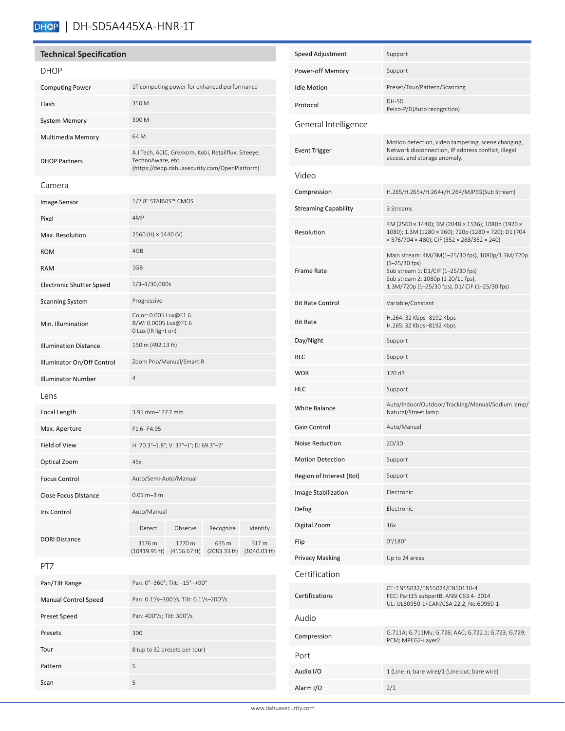# DHOP | DH-SD5A445XA-HNR-1T

### **Technical Specification**

Pattern 5 Scan 5

| <b>DHOP</b>                     |                                                                                                                           |                        |                       |                                 |
|---------------------------------|---------------------------------------------------------------------------------------------------------------------------|------------------------|-----------------------|---------------------------------|
| <b>Computing Power</b>          | 1T computing power for enhanced performance                                                                               |                        |                       |                                 |
| Flash                           | 350 M                                                                                                                     |                        |                       |                                 |
| <b>System Memory</b>            | 300 M                                                                                                                     |                        |                       |                                 |
| Multimedia Memory               | 64 M                                                                                                                      |                        |                       |                                 |
| <b>DHOP Partners</b>            | A.I.Tech, ACIC, Grekkom, Kobi, Retailflux, Siteeye,<br>TechnoAware, etc.<br>(https://depp.dahuasecurity.com/OpenPlatform) |                        |                       |                                 |
| Camera                          |                                                                                                                           |                        |                       |                                 |
| Image Sensor                    | 1/2.8" STARVIS™ CMOS                                                                                                      |                        |                       |                                 |
| Pixel                           | 4MP                                                                                                                       |                        |                       |                                 |
| Max. Resolution                 | 2560 (H) × 1440 (V)                                                                                                       |                        |                       |                                 |
| <b>ROM</b>                      | 4GB                                                                                                                       |                        |                       |                                 |
| <b>RAM</b>                      | 1GB                                                                                                                       |                        |                       |                                 |
| <b>Electronic Shutter Speed</b> | $1/3 - 1/30,000s$                                                                                                         |                        |                       |                                 |
| <b>Scanning System</b>          | Progressive                                                                                                               |                        |                       |                                 |
| Min. Illumination               | Color: 0.005 Lux@F1.6<br>B/W: 0.0005 Lux@F1.6<br>0 Lux (IR light on)                                                      |                        |                       |                                 |
| <b>Illumination Distance</b>    | 150 m (492.13 ft)                                                                                                         |                        |                       |                                 |
| Illuminator On/Off Control      | Zoom Prio/Manual/SmartIR                                                                                                  |                        |                       |                                 |
| <b>Illuminator Number</b>       | 4                                                                                                                         |                        |                       |                                 |
| Lens                            |                                                                                                                           |                        |                       |                                 |
| Focal Length                    | 3.95 mm-177.7 mm                                                                                                          |                        |                       |                                 |
| Max. Aperture                   | $F1.6 - F4.95$                                                                                                            |                        |                       |                                 |
| Field of View                   | H: 70.3°-1.8°; V: 37°-1°; D: 69.3°-2°                                                                                     |                        |                       |                                 |
| Optical Zoom                    | 45x                                                                                                                       |                        |                       |                                 |
| <b>Focus Control</b>            | Auto/Semi-Auto/Manual                                                                                                     |                        |                       |                                 |
| Close Focus Distance            | $0.01 m - 3 m$                                                                                                            |                        |                       |                                 |
| Iris Control                    | Auto/Manual                                                                                                               |                        |                       |                                 |
|                                 | Detect                                                                                                                    | Observe                | Recognize             | Identify                        |
| <b>DORI Distance</b>            | 3176 m<br>$(10419.95 \text{ ft})$                                                                                         | 1270 m<br>(4166.67 ft) | 635 m<br>(2083.33 ft) | 317 m<br>$(1040.03 \text{ ft})$ |
| PTZ                             |                                                                                                                           |                        |                       |                                 |
| Pan/Tilt Range                  | Pan: 0°-360°; Tilt: -15°-+90°                                                                                             |                        |                       |                                 |
| <b>Manual Control Speed</b>     | Pan: 0.1°/s-300°/s; Tilt: 0.1°/s-200°/s                                                                                   |                        |                       |                                 |
| Preset Speed                    | Pan: 400°/s; Tilt: 300°/s                                                                                                 |                        |                       |                                 |
| Presets                         | 300                                                                                                                       |                        |                       |                                 |
| Tour                            | 8 (up to 32 presets per tour)                                                                                             |                        |                       |                                 |

| Speed Adjustment            | Support                                                                                                                                                                                             |
|-----------------------------|-----------------------------------------------------------------------------------------------------------------------------------------------------------------------------------------------------|
| Power-off Memory            | Support                                                                                                                                                                                             |
| <b>Idle Motion</b>          | Preset/Tour/Pattern/Scanning                                                                                                                                                                        |
| Protocol                    | DH-SD<br>Pelco-P/D(Auto recognition)                                                                                                                                                                |
| General Intelligence        |                                                                                                                                                                                                     |
| Event Trigger               | Motion detection, video tampering, scene changing,<br>Network disconnection, IP address conflict, illegal<br>access, and storage anomaly.                                                           |
| Video                       |                                                                                                                                                                                                     |
| Compression                 | H.265/H.265+/H.264+/H.264/MJPEG(Sub Stream)                                                                                                                                                         |
| <b>Streaming Capability</b> | 3 Streams                                                                                                                                                                                           |
| Resolution                  | 4M (2560 × 1440); 3M (2048 × 1536); 1080p (1920 ×<br>1080); 1.3M (1280 × 960); 720p (1280 × 720); D1 (704<br>× 576/704 × 480); CIF (352 × 288/352 × 240)                                            |
| <b>Frame Rate</b>           | Main stream: 4M/3M(1-25/30 fps), 1080p/1.3M/720p<br>$(1 - 25/30$ fps)<br>Sub stream 1: D1/CIF (1-25/30 fps)<br>Sub stream 2: 1080p (1-20/11 fps),<br>1.3M/720p (1-25/30 fps), D1/ CIF (1-25/30 fps) |
| <b>Bit Rate Control</b>     | Variable/Constant                                                                                                                                                                                   |
| <b>Bit Rate</b>             | H.264: 32 Kbps-8192 Kbps<br>H.265: 32 Kbps-8192 Kbps                                                                                                                                                |
| Day/Night                   | Support                                                                                                                                                                                             |
| <b>BLC</b>                  | Support                                                                                                                                                                                             |
| <b>WDR</b>                  | 120 dB                                                                                                                                                                                              |
| <b>HLC</b>                  | Support                                                                                                                                                                                             |
| <b>White Balance</b>        | Auto/Indoor/Outdoor/Tracking/Manual/Sodium lamp/<br>Natural/Street lamp                                                                                                                             |
| Gain Control                | Auto/Manual                                                                                                                                                                                         |
| <b>Noise Reduction</b>      | 2D/3D                                                                                                                                                                                               |
| <b>Motion Detection</b>     | Support                                                                                                                                                                                             |
| Region of Interest (RoI)    | Support                                                                                                                                                                                             |
| Image Stabilization         | Electronic                                                                                                                                                                                          |
| Defog                       | Electronic                                                                                                                                                                                          |
| Digital Zoom                | 16x                                                                                                                                                                                                 |
| Flip                        | $0^{\circ}/180^{\circ}$                                                                                                                                                                             |
| <b>Privacy Masking</b>      | Up to 24 areas                                                                                                                                                                                      |
| Certification               |                                                                                                                                                                                                     |
| Certifications              | CE: EN55032/EN55024/EN50130-4<br>FCC: Part15 subpartB, ANSI C63.4-2014<br>UL: UL60950-1+CAN/CSA 22.2, No.60950-1                                                                                    |
| Audio                       |                                                                                                                                                                                                     |
| Compression                 | G.711A; G.711Mu; G.726; AAC; G.722.1; G.723; G.729;<br>PCM; MPEG2-Layer2                                                                                                                            |
| Port                        |                                                                                                                                                                                                     |
| Audio I/O                   | 1 (Line in; bare wire)/1 (Line out; bare wire)                                                                                                                                                      |
| Alarm I/O                   | 2/1                                                                                                                                                                                                 |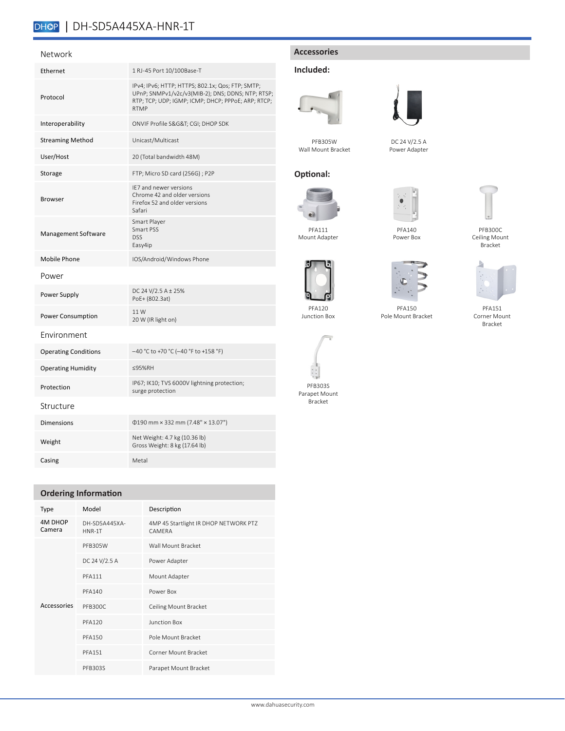# DHOP | DH-SD5A445XA-HNR-1T

### Network

| Ethernet                    | 1 RJ-45 Port 10/100Base-T                                                                                                                                                  |
|-----------------------------|----------------------------------------------------------------------------------------------------------------------------------------------------------------------------|
| Protocol                    | IPv4; IPv6; HTTP; HTTPS; 802.1x; Qos; FTP; SMTP;<br>UPnP; SNMPv1/v2c/v3(MIB-2); DNS; DDNS; NTP; RTSP;<br>RTP; TCP; UDP; IGMP; ICMP; DHCP; PPPoE; ARP; RTCP;<br><b>RTMP</b> |
| Interoperability            | ONVIF Profile S&G&T CGI; DHOP SDK                                                                                                                                          |
| <b>Streaming Method</b>     | Unicast/Multicast                                                                                                                                                          |
| User/Host                   | 20 (Total bandwidth 48M)                                                                                                                                                   |
| Storage                     | FTP; Micro SD card (256G) ; P2P                                                                                                                                            |
| <b>Browser</b>              | IE7 and newer versions<br>Chrome 42 and older versions<br>Firefox 52 and older versions<br>Safari                                                                          |
| Management Software         | Smart Player<br>Smart PSS<br><b>DSS</b><br>Easy4ip                                                                                                                         |
| Mobile Phone                | IOS/Android/Windows Phone                                                                                                                                                  |
| Power                       |                                                                                                                                                                            |
| Power Supply                | DC 24 V/2.5 A ± 25%<br>PoE+ (802.3at)                                                                                                                                      |
| Power Consumption           | 11 W<br>20 W (IR light on)                                                                                                                                                 |
| Environment                 |                                                                                                                                                                            |
| <b>Operating Conditions</b> | -40 °C to +70 °C (-40 °F to +158 °F)                                                                                                                                       |
| <b>Operating Humidity</b>   | ≤95%RH                                                                                                                                                                     |
| Protection                  | IP67; IK10; TVS 6000V lightning protection;<br>surge protection                                                                                                            |
| Structure                   |                                                                                                                                                                            |
| <b>Dimensions</b>           | $\Phi$ 190 mm × 332 mm (7.48" × 13.07")                                                                                                                                    |
| Weight                      | Net Weight: 4.7 kg (10.36 lb)<br>Gross Weight: 8 kg (17.64 lb)                                                                                                             |
| Casing                      | Metal                                                                                                                                                                      |

## **Ordering Information**

| Type                     | Model                   | Description                                            |  |
|--------------------------|-------------------------|--------------------------------------------------------|--|
| <b>4M DHOP</b><br>Camera | DH-SD5A445XA-<br>HNR-1T | 4MP 45 Startlight IR DHOP NETWORK PTZ<br><b>CAMFRA</b> |  |
|                          | PFB305W                 | Wall Mount Bracket                                     |  |
|                          | DC 24 V/2.5 A           | Power Adapter                                          |  |
|                          | <b>PFA111</b>           | Mount Adapter                                          |  |
|                          | <b>PFA140</b>           | Power Box                                              |  |
| Accessories              | PFB300C                 | Ceiling Mount Bracket                                  |  |
|                          | <b>PFA120</b>           | Junction Box                                           |  |
|                          | <b>PFA150</b>           | Pole Mount Bracket                                     |  |
|                          | <b>PFA151</b>           | Corner Mount Bracket                                   |  |
|                          | PFB303S                 | Parapet Mount Bracket                                  |  |

# **Accessories**

# **Included:**





DC 24 V/2.5 A Power Adapter

PFB305W Wall Mount Bracket

# **Optional:**



Mount Adapter

PFA120 Junction Box

PFB303S Parapet Mount Bracket

 $\bullet$ PFA140

Power Box



PFB300C Ceiling Mount Bracket



PFA150



PFA151 Corner Mount Bracket